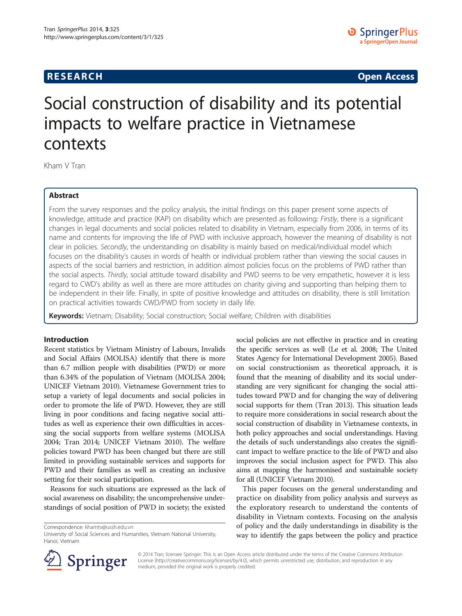# **RESEARCH CHINESE ARCH CHINESE ARCH CHINESE ARCH <b>CHINESE ARCH**

# Social construction of disability and its potential impacts to welfare practice in Vietnamese contexts

Kham V Tran

# Abstract

From the survey responses and the policy analysis, the initial findings on this paper present some aspects of knowledge, attitude and practice (KAP) on disability which are presented as following: Firstly, there is a significant changes in legal documents and social policies related to disability in Vietnam, especially from 2006, in terms of its name and contents for improving the life of PWD with inclusive approach, however the meaning of disability is not clear in policies. Secondly, the understanding on disability is mainly based on medical/individual model which focuses on the disability's causes in words of health or individual problem rather than viewing the social causes in aspects of the social barriers and restriction, in addition almost policies focus on the problems of PWD rather than the social aspects. Thirdly, social attitude toward disability and PWD seems to be very empathetic, however it is less regard to CWD's ability as well as there are more attitudes on charity giving and supporting than helping them to be independent in their life. Finally, in spite of positive knowledge and attitudes on disability, there is still limitation on practical activities towards CWD/PWD from society in daily life.

Keywords: Vietnam; Disability; Social construction; Social welfare; Children with disabilities

### Introduction

Recent statistics by Vietnam Ministry of Labours, Invalids and Social Affairs (MOLISA) identify that there is more than 6.7 million people with disabilities (PWD) or more than 6.34% of the population of Vietnam (MOLISA [2004](#page-8-0); UNICEF Vietnam [2010](#page-8-0)). Vietnamese Government tries to setup a variety of legal documents and social policies in order to promote the life of PWD. However, they are still living in poor conditions and facing negative social attitudes as well as experience their own difficulties in accessing the social supports from welfare systems (MOLISA [2004;](#page-8-0) Tran [2014;](#page-8-0) UNICEF Vietnam [2010](#page-8-0)). The welfare policies toward PWD has been changed but there are still limited in providing sustainable services and supports for PWD and their families as well as creating an inclusive setting for their social participation.

Reasons for such situations are expressed as the lack of social awareness on disability; the uncomprehensive understandings of social position of PWD in society; the existed

Correspondence: [khamtv@ussh.edu.vn](mailto:khamtv@ussh.edu.vn)

social policies are not effective in practice and in creating the specific services as well (Le et al. [2008;](#page-8-0) The United States Agency for International Development [2005](#page-8-0)). Based on social constructionism as theoretical approach, it is found that the meaning of disability and its social understanding are very significant for changing the social attitudes toward PWD and for changing the way of delivering social supports for them (Tran [2013\)](#page-8-0). This situation leads to require more considerations in social research about the social construction of disability in Vietnamese contexts, in both policy approaches and social understandings. Having the details of such understandings also creates the significant impact to welfare practice to the life of PWD and also improves the social inclusion aspect for PWD. This also aims at mapping the harmonised and sustainable society for all (UNICEF Vietnam [2010\)](#page-8-0).

This paper focuses on the general understanding and practice on disability from policy analysis and surveys as the exploratory research to understand the contents of disability in Vietnam contexts. Focusing on the analysis of policy and the daily understandings in disability is the way to identify the gaps between the policy and practice



© 2014 Tran; licensee Springer. This is an Open Access article distributed under the terms of the Creative Commons Attribution License [\(http://creativecommons.org/licenses/by/4.0\)](http://creativecommons.org/licenses/by/4.0), which permits unrestricted use, distribution, and reproduction in any medium, provided the original work is properly credited.

University of Social Sciences and Humanities, Vietnam National University, Hanoi, Vietnam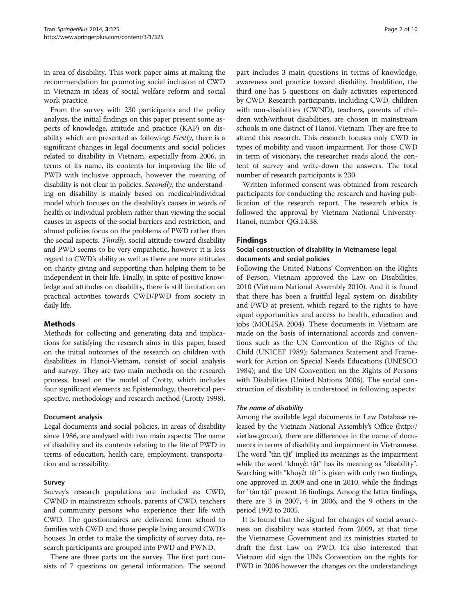in area of disability. This work paper aims at making the recommendation for promoting social inclusion of CWD in Vietnam in ideas of social welfare reform and social work practice.

From the survey with 230 participants and the policy analysis, the initial findings on this paper present some aspects of knowledge, attitude and practice (KAP) on disability which are presented as following: Firstly, there is a significant changes in legal documents and social policies related to disability in Vietnam, especially from 2006, in terms of its name, its contents for improving the life of PWD with inclusive approach, however the meaning of disability is not clear in policies. Secondly, the understanding on disability is mainly based on medical/individual model which focuses on the disability's causes in words of health or individual problem rather than viewing the social causes in aspects of the social barriers and restriction, and almost policies focus on the problems of PWD rather than the social aspects. Thirdly, social attitude toward disability and PWD seems to be very empathetic, however it is less regard to CWD's ability as well as there are more attitudes on charity giving and supporting than helping them to be independent in their life. Finally, in spite of positive knowledge and attitudes on disability, there is still limitation on practical activities towards CWD/PWD from society in daily life.

### Methods

Methods for collecting and generating data and implications for satisfying the research aims in this paper, based on the initial outcomes of the research on children with disabilities in Hanoi-Vietnam, consist of social analysis and survey. They are two main methods on the research process, based on the model of Crotty, which includes four significant elements as: Epistemology, theoretical perspective, methodology and research method (Crotty [1998](#page-8-0)).

### Document analysis

Legal documents and social policies, in areas of disability since 1986, are analysed with two main aspects: The name of disability and its contents relating to the life of PWD in terms of education, health care, employment, transportation and accessibility.

# Survey

Survey's research populations are included as: CWD, CWND in mainstream schools, parents of CWD, teachers and community persons who experience their life with CWD. The questionnaires are delivered from school to families with CWD and those people living around CWD's houses. In order to make the simplicity of survey data, research participants are grouped into PWD and PWND.

There are three parts on the survey. The first part consists of 7 questions on general information. The second

part includes 3 main questions in terms of knowledge, awareness and practice toward disability. Inaddition, the third one has 5 questions on daily activities experienced by CWD. Research participants, including CWD, children with non-disabilities (CWND), teachers, parents of children with/without disabilities, are chosen in mainstream schools in one district of Hanoi, Vietnam. They are free to attend this research. This research focuses only CWD in types of mobility and vision impairment. For those CWD in term of visionary, the researcher reads aloud the content of survey and write-down the answers. The total number of research participants is 230.

Written informed consent was obtained from research participants for conducting the research and having publication of the research report. The research ethics is followed the approval by Vietnam National University-Hanoi, number QG.14.38.

# Findings

# Social construction of disability in Vietnamese legal documents and social policies

Following the United Nations' Convention on the Rights of Person, Vietnam approved the Law on Disabilities, 2010 (Vietnam National Assembly [2010](#page-9-0)). And it is found that there has been a fruitful legal system on disability and PWD at present, which regard to the rights to have equal opportunities and access to health, education and jobs (MOLISA [2004](#page-8-0)). These documents in Vietnam are made on the basis of international accords and conventions such as the UN Convention of the Rights of the Child (UNICEF [1989](#page-8-0)); Salamanca Statement and Framework for Action on Special Needs Educations (UNESCO [1984](#page-8-0)); and the UN Convention on the Rights of Persons with Disabilities (United Nations [2006\)](#page-8-0). The social construction of disability is understood in following aspects:

# The name of disability

Among the available legal documents in Law Database released by the Vietnam National Assembly's Office [\(http://](http://vietlaw.gov.vn/) [vietlaw.gov.vn\)](http://vietlaw.gov.vn/), there are differences in the name of documents in terms of disability and impairment in Vietnamese. The word "tàn tật" implied its meanings as the impairment while the word "khuyết tật" has its meaning as "disability". Searching with "khuyết tật" is given with only two findings, one approved in 2009 and one in 2010, while the findings for "tàn tật" present 16 findings. Among the latter findings, there are 3 in 2007, 4 in 2006, and the 9 others in the period 1992 to 2005.

It is found that the signal for changes of social awareness on disability was started from 2009, at that time the Vietnamese Government and its ministries started to draft the first Law on PWD. It's also interested that Vietnam did sign the UN's Convention on the rights for PWD in 2006 however the changes on the understandings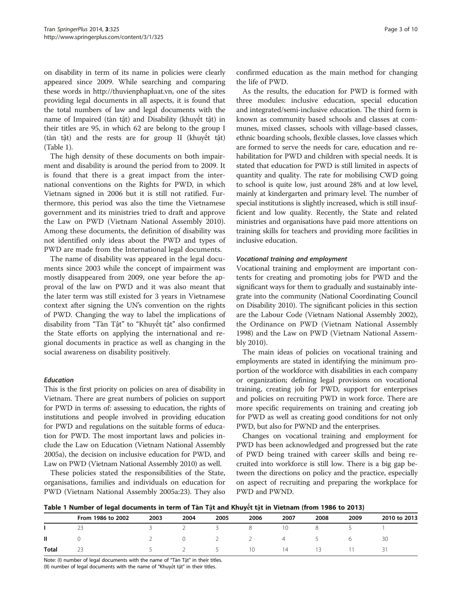on disability in term of its name in policies were clearly appeared since 2009. While searching and comparing these words in [http://thuvienphapluat.vn,](http://thuvienphapluat.vn/) one of the sites providing legal documents in all aspects, it is found that the total numbers of law and legal documents with the name of Impaired (tàn tật) and Disability (khuyết tật) in their titles are 95, in which 62 are belong to the group I (tàn tật) and the rests are for group II (khuyết tật) (Table 1).

The high density of these documents on both impairment and disability is around the period from to 2009. It is found that there is a great impact from the international conventions on the Rights for PWD, in which Vietnam signed in 2006 but it is still not ratified. Furthermore, this period was also the time the Vietnamese government and its ministries tried to draft and approve the Law on PWD (Vietnam National Assembly [2010](#page-9-0)). Among these documents, the definition of disability was not identified only ideas about the PWD and types of PWD are made from the International legal documents.

The name of disability was appeared in the legal documents since 2003 while the concept of impairment was mostly disappeared from 2009, one year before the approval of the law on PWD and it was also meant that the later term was still existed for 3 years in Vietnamese context after signing the UN's convention on the rights of PWD. Changing the way to label the implications of disability from "Tàn Tật" to "Khuyết tật" also confirmed the State efforts on applying the international and regional documents in practice as well as changing in the social awareness on disability positively.

#### Education

This is the first priority on policies on area of disability in Vietnam. There are great numbers of policies on support for PWD in terms of: assessing to education, the rights of institutions and people involved in providing education for PWD and regulations on the suitable forms of education for PWD. The most important laws and policies include the Law on Education (Vietnam National Assembly [2005a](#page-9-0)), the decision on inclusive education for PWD, and Law on PWD (Vietnam National Assembly [2010](#page-9-0)) as well.

These policies stated the responsibilities of the State, organisations, families and individuals on education for PWD (Vietnam National Assembly [2005a:](#page-9-0)23). They also

As the results, the education for PWD is formed with three modules: inclusive education, special education and integrated/semi-inclusive education. The third form is known as community based schools and classes at communes, mixed classes, schools with village-based classes, ethnic boarding schools, flexible classes, love classes which are formed to serve the needs for care, education and rehabilitation for PWD and children with special needs. It is stated that education for PWD is still limited in aspects of quantity and quality. The rate for mobilising CWD going to school is quite low, just around 28% and at low level, mainly at kindergarten and primary level. The number of special institutions is slightly increased, which is still insufficient and low quality. Recently, the State and related ministries and organisations have paid more attentions on training skills for teachers and providing more facilities in inclusive education.

#### Vocational training and employment

Vocational training and employment are important contents for creating and promoting jobs for PWD and the significant ways for them to gradually and sustainably integrate into the community (National Coordinating Council on Disability [2010\)](#page-8-0). The significant policies in this section are the Labour Code (Vietnam National Assembly [2002](#page-8-0)), the Ordinance on PWD (Vietnam National Assembly [1998\)](#page-8-0) and the Law on PWD (Vietnam National Assembly [2010\)](#page-9-0).

The main ideas of policies on vocational training and employments are stated in identifying the minimum proportion of the workforce with disabilities in each company or organization; defining legal provisions on vocational training, creating job for PWD, support for enterprises and policies on recruiting PWD in work force. There are more specific requirements on training and creating job for PWD as well as creating good conditions for not only PWD, but also for PWND and the enterprises.

Changes on vocational training and employment for PWD has been acknowledged and progressed but the rate of PWD being trained with career skills and being recruited into workforce is still low. There is a big gap between the directions on policy and the practice, especially on aspect of recruiting and preparing the workplace for PWD and PWND.

Table 1 Number of legal documents in term of Tàn Tật and Khuyết tật in Vietnam (from 1986 to 2013)

|              | -                 |      |      |      |      |          |      |      |              |
|--------------|-------------------|------|------|------|------|----------|------|------|--------------|
|              | From 1986 to 2002 | 2003 | 2004 | 2005 | 2006 | 2007     | 2008 | 2009 | 2010 to 2013 |
|              | <u>_</u>          |      |      |      |      | 10       |      |      |              |
| Ш            |                   |      |      |      |      | $\Delta$ |      |      | 30           |
| <b>Total</b> | 23                |      |      |      | 10   | 14       |      |      |              |

Note: (I) number of legal documents with the name of "Tàn Tật" in their titles. (II) number of legal documents with the name of "Khuyết tật" in their titles.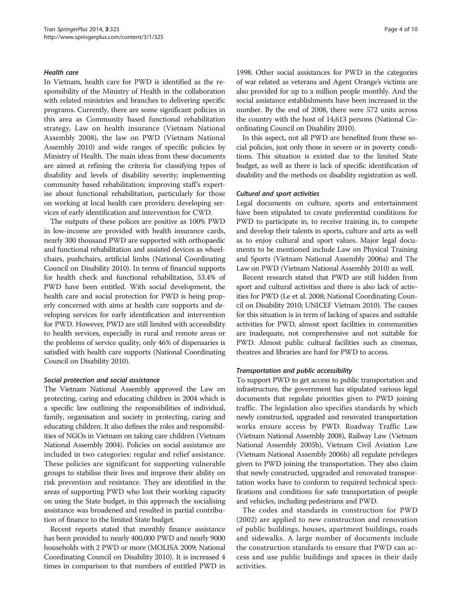#### Health care

In Vietnam, health care for PWD is identified as the responsibility of the Ministry of Health in the collaboration with related ministries and branches to delivering specific programs. Currently, there are some significant policies in this area as Community based functional rehabilitation strategy, Law on health insurance (Vietnam National Assembly [2008](#page-9-0)), the law on PWD (Vietnam National Assembly [2010](#page-9-0)) and wide ranges of specific policies by Ministry of Health. The main ideas from these documents are aimed at refining the criteria for classifying types of disability and levels of disability severity; implementing community based rehabilitation; improving staff's expertise about functional rehabilitation, particularly for those on working at local health care providers; developing services of early identification and intervention for CWD.

The outputs of these polices are positive as 100% PWD in low-income are provided with health insurance cards, nearly 300 thousand PWD are supported with orthopaedic and functional rehabilitation and assisted devices as wheelchairs, pushchairs, artificial limbs (National Coordinating Council on Disability [2010](#page-8-0)). In terms of financial supports for health check and functional rehabilitation, 53.4% of PWD have been entitled. With social development, the health care and social protection for PWD is being properly concerned with aims at health care supports and developing services for early identification and intervention for PWD. However, PWD are still limited with accessibility to health services, especially in rural and remote areas or the problems of service quality, only 46% of dispensaries is satisfied with health care supports (National Coordinating Council on Disability [2010](#page-8-0)).

#### Social protection and social assistance

The Vietnam National Assembly approved the Law on protecting, caring and educating children in 2004 which is a specific law outlining the responsibilities of individual, family, organisation and society in protecting, caring and educating children. It also defines the roles and responsibilities of NGOs in Vietnam on taking care children (Vietnam National Assembly [2004\)](#page-9-0). Policies on social assistance are included in two categories: regular and relief assistance. These policies are significant for supporting vulnerable groups to stabilise their lives and improve their ability on risk prevention and resistance. They are identified in the areas of supporting PWD who lost their working capacity on using the State budget, in this approach the socialising assistance was broadened and resulted in partial contribution of finance to the limited State budget.

Recent reports stated that monthly finance assistance has been provided to nearly 400,000 PWD and nearly 9000 households with 2 PWD or more (MOLISA [2009;](#page-8-0) National Coordinating Council on Disability [2010\)](#page-8-0). It is increased 4 times in comparison to that numbers of entitled PWD in

1998. Other social assistances for PWD in the categories of war related as veterans and Agent Orange's victims are also provided for up to a million people monthly. And the social assistance establishments have been increased in the number. By the end of 2008, there were 572 units across the country with the host of 14,613 persons (National Coordinating Council on Disability [2010\)](#page-8-0).

In this aspect, not all PWD are benefited from these social policies, just only those in severe or in poverty conditions. This situation is existed due to the limited State budget, as well as there is lack of specific identification of disability and the methods on disability registration as well.

#### Cultural and sport activities

Legal documents on culture, sports and entertainment have been stipulated to create preferential conditions for PWD to participate in, to receive training in, to compete and develop their talents in sports, culture and arts as well as to enjoy cultural and sport values. Major legal documents to be mentioned include Law on Physical Training and Sports (Vietnam National Assembly [2006a](#page-9-0)) and The Law on PWD (Vietnam National Assembly [2010](#page-9-0)) as well.

Recent research stated that PWD are still hidden from sport and cultural activities and there is also lack of activities for PWD (Le et al. [2008](#page-8-0); National Coordinating Council on Disability [2010;](#page-8-0) UNICEF Vietnam [2010\)](#page-8-0). The causes for this situation is in term of lacking of spaces and suitable activities for PWD, almost sport facilities in communities are inadequate, not comprehensive and not suitable for PWD. Almost public cultural facilities such as cinemas, theatres and libraries are hard for PWD to access.

#### Transportation and public accessibility

To support PWD to get access to public transportation and infrastructure, the government has stipulated various legal documents that regulate priorities given to PWD joining traffic. The legislation also specifies standards by which newly constructed, upgraded and renovated transportation works ensure access by PWD. Roadway Traffic Law (Vietnam National Assembly [2008\)](#page-9-0), Railway Law (Vietnam National Assembly [2005b\)](#page-9-0), Vietnam Civil Aviation Law (Vietnam National Assembly [2006b](#page-9-0)) all regulate privileges given to PWD joining the transportation. They also claim that newly constructed, upgraded and renovated transportation works have to conform to required technical specifications and conditions for safe transportation of people and vehicles, including pedestrians and PWD.

The codes and standards in construction for PWD (2002) are applied to new construction and renovation of public buildings, houses, apartment buildings, roads and sidewalks. A large number of documents include the construction standards to ensure that PWD can access and use public buildings and spaces in their daily activities.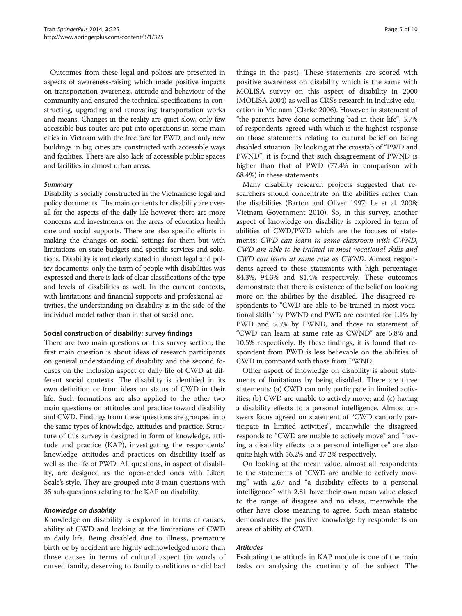Outcomes from these legal and polices are presented in aspects of awareness-raising which made positive impacts on transportation awareness, attitude and behaviour of the community and ensured the technical specifications in constructing, upgrading and renovating transportation works and means. Changes in the reality are quiet slow, only few accessible bus routes are put into operations in some main cities in Vietnam with the free fare for PWD, and only new buildings in big cities are constructed with accessible ways and facilities. There are also lack of accessible public spaces and facilities in almost urban areas.

#### **Summary**

Disability is socially constructed in the Vietnamese legal and policy documents. The main contents for disability are overall for the aspects of the daily life however there are more concerns and investments on the areas of education health care and social supports. There are also specific efforts in making the changes on social settings for them but with limitations on state budgets and specific services and solutions. Disability is not clearly stated in almost legal and policy documents, only the term of people with disabilities was expressed and there is lack of clear classifications of the type and levels of disabilities as well. In the current contexts, with limitations and financial supports and professional activities, the understanding on disability is in the side of the individual model rather than in that of social one.

#### Social construction of disability: survey findings

There are two main questions on this survey section; the first main question is about ideas of research participants on general understanding of disability and the second focuses on the inclusion aspect of daily life of CWD at different social contexts. The disability is identified in its own definition or from ideas on status of CWD in their life. Such formations are also applied to the other two main questions on attitudes and practice toward disability and CWD. Findings from these questions are grouped into the same types of knowledge, attitudes and practice. Structure of this survey is designed in form of knowledge, attitude and practice (KAP), investigating the respondents' knowledge, attitudes and practices on disability itself as well as the life of PWD. All questions, in aspect of disability, are designed as the open-ended ones with Likert Scale's style. They are grouped into 3 main questions with 35 sub-questions relating to the KAP on disability.

### Knowledge on disability

Knowledge on disability is explored in terms of causes, ability of CWD and looking at the limitations of CWD in daily life. Being disabled due to illness, premature birth or by accident are highly acknowledged more than those causes in terms of cultural aspect (in words of cursed family, deserving to family conditions or did bad

things in the past). These statements are scored with positive awareness on disability which is the same with MOLISA survey on this aspect of disability in 2000 (MOLISA [2004\)](#page-8-0) as well as CRS's research in inclusive education in Vietnam (Clarke [2006](#page-8-0)). However, in statement of "the parents have done something bad in their life", 5.7% of respondents agreed with which is the highest response on those statements relating to cultural belief on being disabled situation. By looking at the crosstab of "PWD and PWND", it is found that such disagreement of PWND is higher than that of PWD (77.4% in comparison with 68.4%) in these statements.

Many disability research projects suggested that researchers should concentrate on the abilities rather than the disabilities (Barton and Oliver [1997;](#page-8-0) Le et al. [2008](#page-8-0); Vietnam Government [2010\)](#page-8-0). So, in this survey, another aspect of knowledge on disability is explored in term of abilities of CWD/PWD which are the focuses of statements: CWD can learn in same classroom with CWND, CWD are able to be trained in most vocational skills and CWD can learn at same rate as CWND. Almost respondents agreed to these statements with high percentage: 84.3%, 94.3% and 81.4% respectively. These outcomes demonstrate that there is existence of the belief on looking more on the abilities by the disabled. The disagreed respondents to "CWD are able to be trained in most vocational skills" by PWND and PWD are counted for 1.1% by PWD and 5.3% by PWND, and those to statement of "CWD can learn at same rate as CWND" are 5.8% and 10.5% respectively. By these findings, it is found that respondent from PWD is less believable on the abilities of CWD in compared with those from PWND.

Other aspect of knowledge on disability is about statements of limitations by being disabled. There are three statements: (a) CWD can only participate in limited activities; (b) CWD are unable to actively move; and (c) having a disability effects to a personal intelligence. Almost answers focus agreed on statement of "CWD can only participate in limited activities", meanwhile the disagreed responds to "CWD are unable to actively move" and "having a disability effects to a personal intelligence" are also quite high with 56.2% and 47.2% respectively.

On looking at the mean value, almost all respondents to the statements of "CWD are unable to actively moving" with 2.67 and "a disability effects to a personal intelligence" with 2.81 have their own mean value closed to the range of disagree and no ideas, meanwhile the other have close meaning to agree. Such mean statistic demonstrates the positive knowledge by respondents on areas of ability of CWD.

### Attitudes

Evaluating the attitude in KAP module is one of the main tasks on analysing the continuity of the subject. The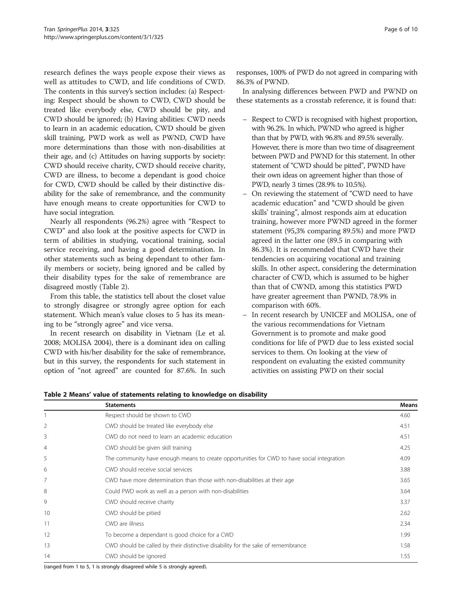research defines the ways people expose their views as well as attitudes to CWD, and life conditions of CWD. The contents in this survey's section includes: (a) Respecting: Respect should be shown to CWD, CWD should be treated like everybody else, CWD should be pity, and CWD should be ignored; (b) Having abilities: CWD needs to learn in an academic education, CWD should be given skill training, PWD work as well as PWND, CWD have more determinations than those with non-disabilities at their age, and (c) Attitudes on having supports by society: CWD should receive charity, CWD should receive charity, CWD are illness, to become a dependant is good choice for CWD, CWD should be called by their distinctive disability for the sake of remembrance, and the community have enough means to create opportunities for CWD to have social integration.

Nearly all respondents (96.2%) agree with "Respect to CWD" and also look at the positive aspects for CWD in term of abilities in studying, vocational training, social service receiving, and having a good determination. In other statements such as being dependant to other family members or society, being ignored and be called by their disability types for the sake of remembrance are disagreed mostly (Table 2).

From this table, the statistics tell about the closet value to strongly disagree or strongly agree option for each statement. Which mean's value closes to 5 has its meaning to be "strongly agree" and vice versa.

In recent research on disability in Vietnam (Le et al. [2008;](#page-8-0) MOLISA [2004\)](#page-8-0), there is a dominant idea on calling CWD with his/her disability for the sake of remembrance, but in this survey, the respondents for such statement in option of "not agreed" are counted for 87.6%. In such

responses, 100% of PWD do not agreed in comparing with 86.3% of PWND.

In analysing differences between PWD and PWND on these statements as a crosstab reference, it is found that:

- Respect to CWD is recognised with highest proportion, with 96.2%. In which, PWND who agreed is higher than that by PWD, with 96.8% and 89.5% severally. However, there is more than two time of disagreement between PWD and PWND for this statement. In other statement of "CWD should be pitted", PWND have their own ideas on agreement higher than those of PWD, nearly 3 times (28.9% to 10.5%).
- On reviewing the statement of "CWD need to have academic education" and "CWD should be given skills' training", almost responds aim at education training, however more PWND agreed in the former statement (95,3% comparing 89.5%) and more PWD agreed in the latter one (89.5 in comparing with 86.3%). It is recommended that CWD have their tendencies on acquiring vocational and training skills. In other aspect, considering the determination character of CWD, which is assumed to be higher than that of CWND, among this statistics PWD have greater agreement than PWND, 78.9% in comparison with 60%.
- In recent research by UNICEF and MOLISA, one of the various recommendations for Vietnam Government is to promote and make good conditions for life of PWD due to less existed social services to them. On looking at the view of respondent on evaluating the existed community activities on assisting PWD on their social

|    | <b>Statements</b>                                                                          | <b>Means</b> |
|----|--------------------------------------------------------------------------------------------|--------------|
|    | Respect should be shown to CWD                                                             | 4.60         |
| 2  | CWD should be treated like everybody else                                                  | 4.51         |
| 3  | CWD do not need to learn an academic education                                             | 4.51         |
| 4  | CWD should be given skill training                                                         | 4.25         |
| 5  | The community have enough means to create opportunities for CWD to have social integration | 4.09         |
| 6  | CWD should receive social services                                                         | 3.88         |
|    | CWD have more determination than those with non-disabilities at their age                  | 3.65         |
| 8  | Could PWD work as well as a person with non-disabilities                                   | 3.64         |
| 9  | CWD should receive charity                                                                 | 3.37         |
| 10 | CWD should be pitied                                                                       | 2.62         |
| 11 | CWD are illness                                                                            | 2.34         |
| 12 | To become a dependant is good choice for a CWD                                             | 1.99         |
| 13 | CWD should be called by their distinctive disability for the sake of remembrance           | 1.58         |
| 14 | CWD should be ignored                                                                      | 1.55         |

Table 2 Means' value of statements relating to knowledge on disability

(ranged from 1 to 5, 1 is strongly disagreed while 5 is strongly agreed).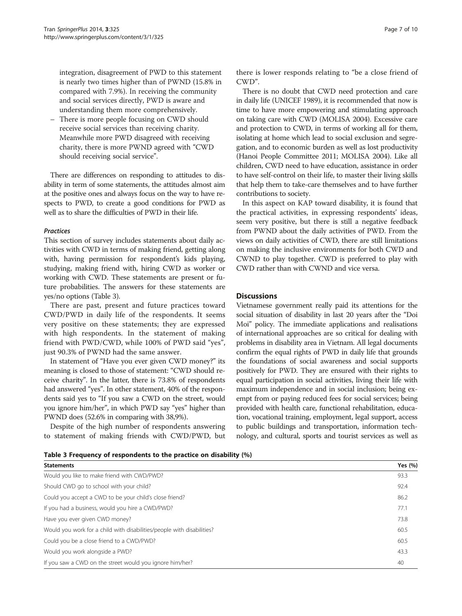integration, disagreement of PWD to this statement is nearly two times higher than of PWND (15.8% in compared with 7.9%). In receiving the community and social services directly, PWD is aware and understanding them more comprehensively.

– There is more people focusing on CWD should receive social services than receiving charity. Meanwhile more PWD disagreed with receiving charity, there is more PWND agreed with "CWD should receiving social service".

There are differences on responding to attitudes to disability in term of some statements, the attitudes almost aim at the positive ones and always focus on the way to have respects to PWD, to create a good conditions for PWD as well as to share the difficulties of PWD in their life.

### **Practices**

This section of survey includes statements about daily activities with CWD in terms of making friend, getting along with, having permission for respondent's kids playing, studying, making friend with, hiring CWD as worker or working with CWD. These statements are present or future probabilities. The answers for these statements are yes/no options (Table 3).

There are past, present and future practices toward CWD/PWD in daily life of the respondents. It seems very positive on these statements; they are expressed with high respondents. In the statement of making friend with PWD/CWD, while 100% of PWD said "yes", just 90.3% of PWND had the same answer.

In statement of "Have you ever given CWD money?" its meaning is closed to those of statement: "CWD should receive charity". In the latter, there is 73.8% of respondents had answered "yes". In other statement, 40% of the respondents said yes to "If you saw a CWD on the street, would you ignore him/her", in which PWD say "yes" higher than PWND does (52.6% in comparing with 38,9%).

Despite of the high number of respondents answering to statement of making friends with CWD/PWD, but there is lower responds relating to "be a close friend of CWD".

There is no doubt that CWD need protection and care in daily life (UNICEF [1989](#page-8-0)), it is recommended that now is time to have more empowering and stimulating approach on taking care with CWD (MOLISA [2004\)](#page-8-0). Excessive care and protection to CWD, in terms of working all for them, isolating at home which lead to social exclusion and segregation, and to economic burden as well as lost productivity (Hanoi People Committee [2011;](#page-8-0) MOLISA [2004\)](#page-8-0). Like all children, CWD need to have education, assistance in order to have self-control on their life, to master their living skills that help them to take-care themselves and to have further contributions to society.

In this aspect on KAP toward disability, it is found that the practical activities, in expressing respondents' ideas, seem very positive, but there is still a negative feedback from PWND about the daily activities of PWD. From the views on daily activities of CWD, there are still limitations on making the inclusive environments for both CWD and CWND to play together. CWD is preferred to play with CWD rather than with CWND and vice versa.

# **Discussions**

Vietnamese government really paid its attentions for the social situation of disability in last 20 years after the "Doi Moi" policy. The immediate applications and realisations of international approaches are so critical for dealing with problems in disability area in Vietnam. All legal documents confirm the equal rights of PWD in daily life that grounds the foundations of social awareness and social supports positively for PWD. They are ensured with their rights to equal participation in social activities, living their life with maximum independence and in social inclusion; being exempt from or paying reduced fees for social services; being provided with health care, functional rehabilitation, education, vocational training, employment, legal support, access to public buildings and transportation, information technology, and cultural, sports and tourist services as well as

Table 3 Frequency of respondents to the practice on disability (%)

| <b>Statements</b>                                                      | Yes $(\% )$ |
|------------------------------------------------------------------------|-------------|
| Would you like to make friend with CWD/PWD?                            | 93.3        |
| Should CWD go to school with your child?                               | 92.4        |
| Could you accept a CWD to be your child's close friend?                | 86.2        |
| If you had a business, would you hire a CWD/PWD?                       | 77.1        |
| Have you ever given CWD money?                                         | 73.8        |
| Would you work for a child with disabilities/people with disabilities? | 60.5        |
| Could you be a close friend to a CWD/PWD?                              | 60.5        |
| Would you work alongside a PWD?                                        | 43.3        |
| If you saw a CWD on the street would you ignore him/her?               | 40          |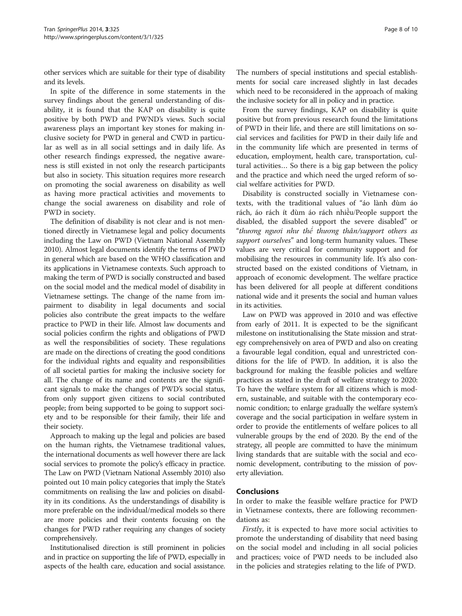other services which are suitable for their type of disability and its levels.

In spite of the difference in some statements in the survey findings about the general understanding of disability, it is found that the KAP on disability is quite positive by both PWD and PWND's views. Such social awareness plays an important key stones for making inclusive society for PWD in general and CWD in particular as well as in all social settings and in daily life. As other research findings expressed, the negative awareness is still existed in not only the research participants but also in society. This situation requires more research on promoting the social awareness on disability as well as having more practical activities and movements to change the social awareness on disability and role of PWD in society.

The definition of disability is not clear and is not mentioned directly in Vietnamese legal and policy documents including the Law on PWD (Vietnam National Assembly [2010\)](#page-9-0). Almost legal documents identify the terms of PWD in general which are based on the WHO classification and its applications in Vietnamese contexts. Such approach to making the term of PWD is socially constructed and based on the social model and the medical model of disability in Vietnamese settings. The change of the name from impairment to disability in legal documents and social policies also contribute the great impacts to the welfare practice to PWD in their life. Almost law documents and social policies confirm the rights and obligations of PWD as well the responsibilities of society. These regulations are made on the directions of creating the good conditions for the individual rights and equality and responsibilities of all societal parties for making the inclusive society for all. The change of its name and contents are the significant signals to make the changes of PWD's social status, from only support given citizens to social contributed people; from being supported to be going to support society and to be responsible for their family, their life and their society.

Approach to making up the legal and policies are based on the human rights, the Vietnamese traditional values, the international documents as well however there are lack social services to promote the policy's efficacy in practice. The Law on PWD (Vietnam National Assembly [2010](#page-9-0)) also pointed out 10 main policy categories that imply the State's commitments on realising the law and policies on disability in its conditions. As the understandings of disability is more preferable on the individual/medical models so there are more policies and their contents focusing on the changes for PWD rather requiring any changes of society comprehensively.

Institutionalised direction is still prominent in policies and in practice on supporting the life of PWD, especially in aspects of the health care, education and social assistance.

The numbers of special institutions and special establishments for social care increased slightly in last decades which need to be reconsidered in the approach of making the inclusive society for all in policy and in practice.

From the survey findings, KAP on disability is quite positive but from previous research found the limitations of PWD in their life, and there are still limitations on social services and facilities for PWD in their daily life and in the community life which are presented in terms of education, employment, health care, transportation, cultural activities… So there is a big gap between the policy and the practice and which need the urged reform of social welfare activities for PWD.

Disability is constructed socially in Vietnamese contexts, with the traditional values of "áo lành đùm áo rách, áo rách ít đùm áo rách nhiều/People support the disabled, the disabled support the severe disabled" or "thương ngươi như thể thương thân/support others as support ourselves" and long-term humanity values. These values are very critical for community support and for mobilising the resources in community life. It's also constructed based on the existed conditions of Vietnam, in approach of economic development. The welfare practice has been delivered for all people at different conditions national wide and it presents the social and human values in its activities.

Law on PWD was approved in 2010 and was effective from early of 2011. It is expected to be the significant milestone on institutionalising the State mission and strategy comprehensively on area of PWD and also on creating a favourable legal condition, equal and unrestricted conditions for the life of PWD. In addition, it is also the background for making the feasible policies and welfare practices as stated in the draft of welfare strategy to 2020: To have the welfare system for all citizens which is modern, sustainable, and suitable with the contemporary economic condition; to enlarge gradually the welfare system's coverage and the social participation in welfare system in order to provide the entitlements of welfare polices to all vulnerable groups by the end of 2020. By the end of the strategy, all people are committed to have the minimum living standards that are suitable with the social and economic development, contributing to the mission of poverty alleviation.

#### Conclusions

In order to make the feasible welfare practice for PWD in Vietnamese contexts, there are following recommendations as:

Firstly, it is expected to have more social activities to promote the understanding of disability that need basing on the social model and including in all social policies and practices; voice of PWD needs to be included also in the policies and strategies relating to the life of PWD.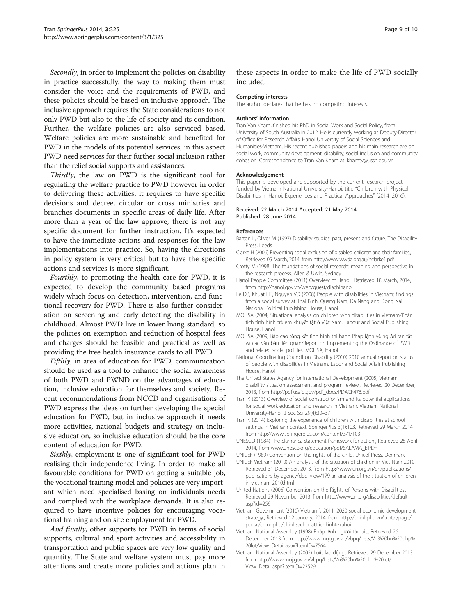<span id="page-8-0"></span>Secondly, in order to implement the policies on disability in practice successfully, the way to making them must consider the voice and the requirements of PWD, and these policies should be based on inclusive approach. The inclusive approach requires the State considerations to not only PWD but also to the life of society and its condition. Further, the welfare policies are also serviced based. Welfare policies are more sustainable and benefited for PWD in the models of its potential services, in this aspect PWD need services for their further social inclusion rather than the relief social supports and assistances.

Thirdly, the law on PWD is the significant tool for regulating the welfare practice to PWD however in order to delivering these activities, it requires to have specific decisions and decree, circular or cross ministries and branches documents in specific areas of daily life. After more than a year of the law approve, there is not any specific document for further instruction. It's expected to have the immediate actions and responses for the law implementations into practice. So, having the directions in policy system is very critical but to have the specific actions and services is more significant.

Fourthly, to promoting the health care for PWD, it is expected to develop the community based programs widely which focus on detection, intervention, and functional recovery for PWD. There is also further consideration on screening and early detecting the disability in childhood. Almost PWD live in lower living standard, so the policies on exemption and reduction of hospital fees and charges should be feasible and practical as well as providing the free health insurance cards to all PWD.

Fifthly, in area of education for PWD, communication should be used as a tool to enhance the social awareness of both PWD and PWND on the advantages of education, inclusive education for themselves and society. Recent recommendations from NCCD and organisations of PWD express the ideas on further developing the special education for PWD, but in inclusive approach it needs more activities, national budgets and strategy on inclusive education, so inclusive education should be the core content of education for PWD.

Sixthly, employment is one of significant tool for PWD realising their independence living. In order to make all favourable conditions for PWD on getting a suitable job, the vocational training model and policies are very important which need specialised basing on individuals needs and complied with the workplace demands. It is also required to have incentive policies for encouraging vocational training and on site employment for PWD.

And finally, other supports for PWD in terms of social supports, cultural and sport activities and accessibility in transportation and public spaces are very low quality and quantity. The State and welfare system must pay more attentions and create more policies and actions plan in

these aspects in order to make the life of PWD socially included.

#### Competing interests

The author declares that he has no competing interests.

#### Authors' information

Tran Van Kham, finished his PhD in Social Work and Social Policy, from University of South Australia in 2012. He is currently working as Deputy-Director of Office for Research Affairs, Hanoi University of Social Sciences and Humanities-Vietnam. His recent published papers and his main research are on social work, community development, disability, social inclusion and community cohesion. Correspondence to Tran Van Kham at: khamtv@ussh.edu.vn.

#### Acknowledgement

This paper is developed and supported by the current research project funded by Vietnam National University-Hanoi, title "Children with Physical Disabilities in Hanoi: Experiences and Practical Approaches" (2014–2016).

#### Received: 22 March 2014 Accepted: 21 May 2014 Published: 28 June 2014

#### References

- Barton L, Oliver M (1997) Disability studies: past, present and future. The Disability Press, Leeds
- Clarke H (2006) Preventing social exclusion of disabled children and their families., Retrieved 05 March, 2014, from<http://www.wwda.org.au/hclarke1.pdf>
- Crotty M (1998) The foundations of social research: meaning and perspective in the research process. Allen & Uwin, Sydney
- Hanoi People Committee (2011) Overview of Hanoi., Retrieved 18 March, 2014, from<http://hanoi.gov.vn/web/guest/diachihanoi>
- Le DB, Khuat HT, Nguyen VD (2008) People with disabilities in Vietnam: findings from a social survey at Thai Binh, Quang Nam, Da Nang and Dong Nai. National Political Publishing House, Hanoi
- MOLISA (2004) Situational analysis on children with disabilities in Vietnam/Phân tích tình hình trẻ em khuyết tật ở Việt Nam. Labour and Social Publishing House, Hanoi
- MOLISA (2009) Báo cáo tổng kết tình hình thi hành Pháp lệnh về người tàn tật và các văn bản liên quan/Report on implementing the Ordinance of PWD and related social policies. MOLISA, Hanoi
- National Coordinating Council on Disability (2010) 2010 annual report on status of people with disabilities in Vietnam. Labor and Social Affair Publishing House, Hanoi
- The United States Agency for International Development (2005) Vietnam disability situation assessment and program review., Retrieved 20 December, 2013, from [http://pdf.usaid.gov/pdf\\_docs/PDACF476.pdf](http://pdf.usaid.gov/pdf_docs/PDACF476.pdf)
- Tran K (2013) Overview of social constructionism and its potential applications for social work education and research in Vietnam. Vietnam National University-Hanoi. J Soc Sci 29(4):30–37
- Tran K (2014) Exploring the experience of children with disabilities at school settings in Vietnam context. SpringerPlus 3(1):103, Retrieved 29 March 2014 from<http://www.springerplus.com/content/3/1/103>
- UNESCO (1984) The Slamanca statement framework for action., Retrieved 28 April 2014, from [www.unesco.org/education/pdf/SALAMA\\_E.PDF](http://www.unesco.org/education/pdf/SALAMA_E.PDF)
- UNICEF (1989) Convention on the rights of the child. Unicef Press, Denmark
- UNICEF Vietnam (2010) An analysis of the situation of children in Viet Nam 2010., Retrieved 31 December, 2013, from [http://www.un.org.vn/en/publications/](http://www.un.org.vn/en/publications/publications-by-agency/doc_view/179-an-analysis-of-the-situation-of-children-in-viet-nam-2010.html) [publications-by-agency/doc\\_view/179-an-analysis-of-the-situation-of-children](http://www.un.org.vn/en/publications/publications-by-agency/doc_view/179-an-analysis-of-the-situation-of-children-in-viet-nam-2010.html)[in-viet-nam-2010.html](http://www.un.org.vn/en/publications/publications-by-agency/doc_view/179-an-analysis-of-the-situation-of-children-in-viet-nam-2010.html)
- United Nations (2006) Convention on the Rights of Persons with Disabilities., Retrieved 29 November 2013, from [http://www.un.org/disabilities/default.](http://www.un.org/disabilities/default.asp?id=259) [asp?id=259](http://www.un.org/disabilities/default.asp?id=259)
- Vietnam Government (2010) Vietnam's 2011–2020 social economic development strategy., Retrieved 12 January, 2014, from [http://chinhphu.vn/portal/page/](http://chinhphu.vn/portal/page/portal/chinhphu/chinhsachphattrienkinhtexahoi) [portal/chinhphu/chinhsachphattrienkinhtexahoi](http://chinhphu.vn/portal/page/portal/chinhphu/chinhsachphattrienkinhtexahoi)
- Vietnam National Assembly (1998) Pháp lệnh người tàn tật., Retrieved 26 December 2013 from [http://www.moj.gov.vn/vbpq/Lists/Vn%20bn%20php%](http://www.moj.gov.vn/vbpq/Lists/Vn%20bn%20php%20lut/View_Detail.aspx?ItemID=7564) [20lut/View\\_Detail.aspx?ItemID=7564](http://www.moj.gov.vn/vbpq/Lists/Vn%20bn%20php%20lut/View_Detail.aspx?ItemID=7564)
- Vietnam National Assembly (2002) Luật lao động., Retrieved 29 December 2013 from [http://www.moj.gov.vn/vbpq/Lists/Vn%20bn%20php%20lut/](http://www.moj.gov.vn/vbpq/Lists/Vn%20bn%20php%20lut/View_Detail.aspx?ItemID=22529) [View\\_Detail.aspx?ItemID=22529](http://www.moj.gov.vn/vbpq/Lists/Vn%20bn%20php%20lut/View_Detail.aspx?ItemID=22529)